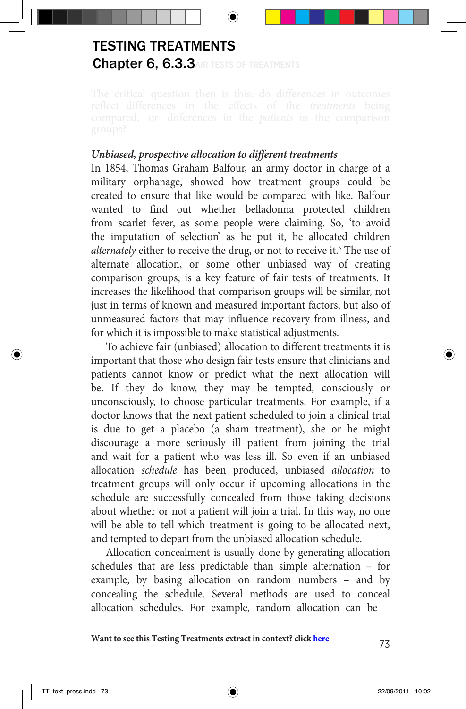## Chapter 6, 6.3.3 AIR TESTS OF TREATMENTS TESTING TREATMENTS

## *Unbiased, prospective allocation to different treatments*

In 1854, Thomas Graham Balfour, an army doctor in charge of a military orphanage, showed how treatment groups could be created to ensure that like would be compared with like. Balfour wanted to find out whether belladonna protected children from scarlet fever, as some people were claiming. So, 'to avoid the imputation of selection' as he put it, he allocated children alternately either to receive the drug, or not to receive it.<sup>5</sup> The use of alternate allocation, or some other unbiased way of creating comparison groups, is a key feature of fair tests of treatments. It increases the likelihood that comparison groups will be similar, not just in terms of known and measured important factors, but also of unmeasured factors that may influence recovery from illness, and for which it is impossible to make statistical adjustments.

To achieve fair (unbiased) allocation to different treatments it is important that those who design fair tests ensure that clinicians and patients cannot know or predict what the next allocation will be. If they do know, they may be tempted, consciously or unconsciously, to choose particular treatments. For example, if a doctor knows that the next patient scheduled to join a clinical trial is due to get a placebo (a sham treatment), she or he might discourage a more seriously ill patient from joining the trial and wait for a patient who was less ill. So even if an unbiased allocation *schedule* has been produced, unbiased *allocation* to treatment groups will only occur if upcoming allocations in the schedule are successfully concealed from those taking decisions about whether or not a patient will join a trial. In this way, no one will be able to tell which treatment is going to be allocated next, and tempted to depart from the unbiased allocation schedule.

Allocation concealment is usually done by generating allocation schedules that are less predictable than simple alternation – for example, by basing allocation on random numbers – and by concealing the schedule. Several methods are used to conceal allocation schedules. For example, random allocation can be